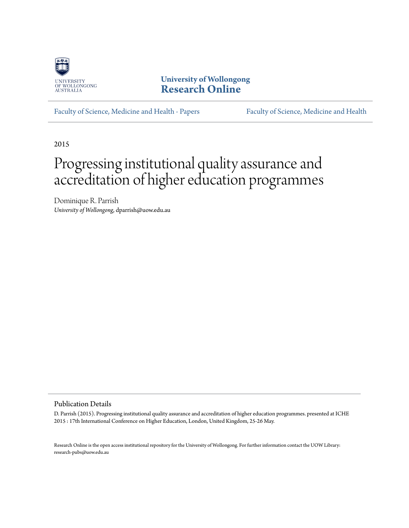

**University of Wollongong [Research Online](http://ro.uow.edu.au)**

[Faculty of Science, Medicine and Health - Papers](http://ro.uow.edu.au/smhpapers) [Faculty of Science, Medicine and Health](http://ro.uow.edu.au/smh)

2015

# Progressing institutional quality assurance and accreditation of higher education programmes

Dominique R. Parrish *University of Wollongong*, dparrish@uow.edu.au

Publication Details

D. Parrish (2015). Progressing institutional quality assurance and accreditation of higher education programmes. presented at ICHE 2015 : 17th International Conference on Higher Education, London, United Kingdom, 25-26 May.

Research Online is the open access institutional repository for the University of Wollongong. For further information contact the UOW Library: research-pubs@uow.edu.au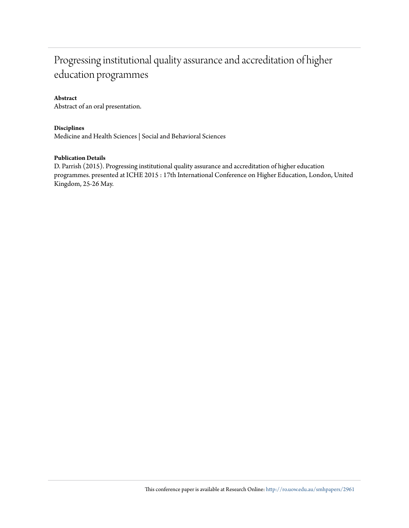## Progressing institutional quality assurance and accreditation of higher education programmes

#### **Abstract**

Abstract of an oral presentation.

#### **Disciplines**

Medicine and Health Sciences | Social and Behavioral Sciences

#### **Publication Details**

D. Parrish (2015). Progressing institutional quality assurance and accreditation of higher education programmes. presented at ICHE 2015 : 17th International Conference on Higher Education, London, United Kingdom, 25-26 May.